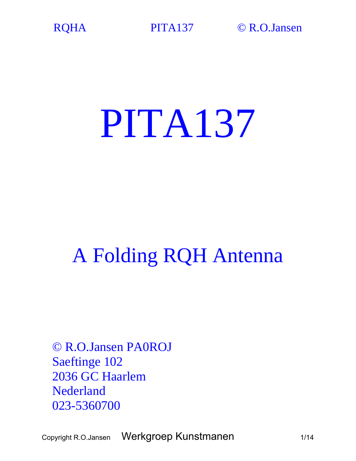

# PITA137

## A Folding RQH Antenna

© R.O.Jansen PA0ROJ Saeftinge 102 2036 GC Haarlem Nederland 023-5360700

Copyright R.O.Jansen Werkgroep Kunstmanen 1/14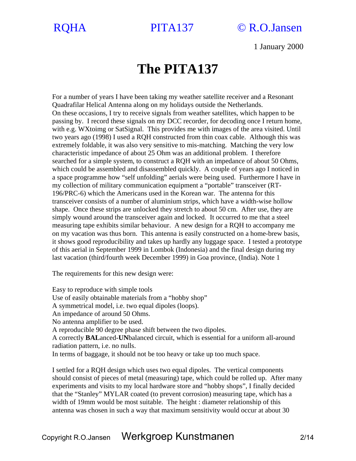1 January 2000

### **The PITA137**

For a number of years I have been taking my weather satellite receiver and a Resonant Quadrafilar Helical Antenna along on my holidays outside the Netherlands. On these occasions, I try to receive signals from weather satellites, which happen to be passing by. I record these signals on my DCC recorder, for decoding once I return home, with e.g. WXtoimg or SatSignal. This provides me with images of the area visited. Until two years ago (1998) I used a RQH constructed from thin coax cable. Although this was extremely foldable, it was also very sensitive to mis-matching. Matching the very low characteristic impedance of about 25 Ohm was an additional problem. I therefore searched for a simple system, to construct a RQH with an impedance of about 50 Ohms, which could be assembled and disassembled quickly. A couple of years ago I noticed in a space programme how "self unfolding" aerials were being used. Furthermore I have in my collection of military communication equipment a "portable" transceiver (RT-196/PRC-6) which the Americans used in the Korean war. The antenna for this transceiver consists of a number of aluminium strips, which have a width-wise hollow shape. Once these strips are unlocked they stretch to about 50 cm. After use, they are simply wound around the transceiver again and locked. It occurred to me that a steel measuring tape exhibits similar behaviour. A new design for a RQH to accompany me on my vacation was thus born. This antenna is easily constructed on a home-brew basis, it shows good reproducibility and takes up hardly any luggage space. I tested a prototype of this aerial in September 1999 in Lombok (Indonesia) and the final design during my last vacation (third/fourth week December 1999) in Goa province, (India). Note 1

The requirements for this new design were:

Easy to reproduce with simple tools Use of easily obtainable materials from a "hobby shop" A symmetrical model, i.e. two equal dipoles (loops). An impedance of around 50 Ohms. No antenna amplifier to be used. A reproducible 90 degree phase shift between the two dipoles. A correctly **BAL**anced-**UN**balanced circuit, which is essential for a uniform all-around radiation pattern, i.e. no nulls. In terms of baggage, it should not be too heavy or take up too much space.

I settled for a RQH design which uses two equal dipoles. The vertical components should consist of pieces of metal (measuring) tape, which could be rolled up. After many experiments and visits to my local hardware store and "hobby shops", I finally decided that the "Stanley" MYLAR coated (to prevent corrosion) measuring tape, which has a width of 19mm would be most suitable. The height : diameter relationship of this antenna was chosen in such a way that maximum sensitivity would occur at about 30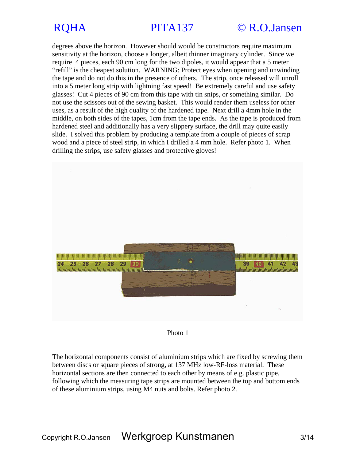



degrees above the horizon. However should would be constructors require maximum sensitivity at the horizon, choose a longer, albeit thinner imaginary cylinder. Since we require 4 pieces, each 90 cm long for the two dipoles, it would appear that a 5 meter "refill" is the cheapest solution. WARNING: Protect eyes when opening and unwinding the tape and do not do this in the presence of others. The strip, once released will unroll into a 5 meter long strip with lightning fast speed! Be extremely careful and use safety glasses! Cut 4 pieces of 90 cm from this tape with tin snips, or something similar. Do not use the scissors out of the sewing basket. This would render them useless for other uses, as a result of the high quality of the hardened tape. Next drill a 4mm hole in the middle, on both sides of the tapes, 1cm from the tape ends. As the tape is produced from hardened steel and additionally has a very slippery surface, the drill may quite easily slide. I solved this problem by producing a template from a couple of pieces of scrap wood and a piece of steel strip, in which I drilled a 4 mm hole. Refer photo 1. When drilling the strips, use safety glasses and protective gloves!





The horizontal components consist of aluminium strips which are fixed by screwing them between discs or square pieces of strong, at 137 MHz low-RF-loss material. These horizontal sections are then connected to each other by means of e.g. plastic pipe, following which the measuring tape strips are mounted between the top and bottom ends of these aluminium strips, using M4 nuts and bolts. Refer photo 2.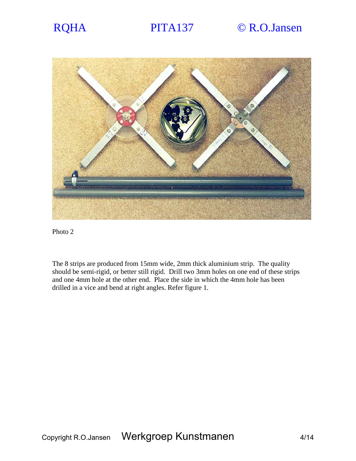





The 8 strips are produced from 15mm wide, 2mm thick aluminium strip. The quality should be semi-rigid, or better still rigid. Drill two 3mm holes on one end of these strips and one 4mm hole at the other end. Place the side in which the 4mm hole has been drilled in a vice and bend at right angles. Refer figure 1.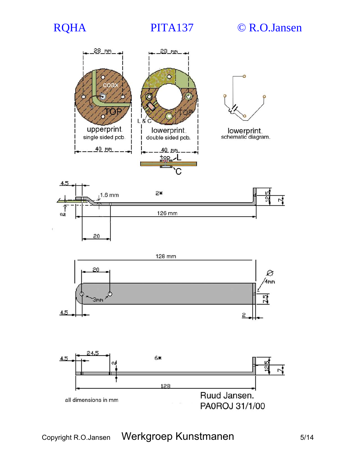





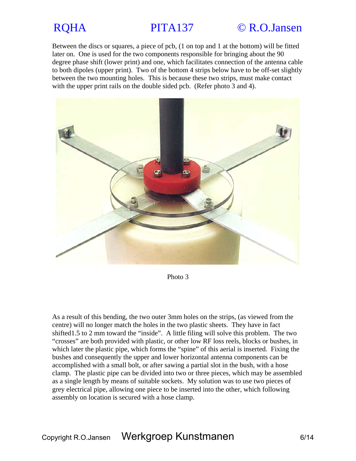Between the discs or squares, a piece of pcb, (1 on top and 1 at the bottom) will be fitted later on. One is used for the two components responsible for bringing about the 90 degree phase shift (lower print) and one, which facilitates connection of the antenna cable to both dipoles (upper print). Two of the bottom 4 strips below have to be off-set slightly between the two mounting holes. This is because these two strips, must make contact with the upper print rails on the double sided pcb. (Refer photo 3 and 4).



Photo 3

As a result of this bending, the two outer 3mm holes on the strips, (as viewed from the centre) will no longer match the holes in the two plastic sheets. They have in fact shifted1.5 to 2 mm toward the "inside". A little filing will solve this problem. The two "crosses" are both provided with plastic, or other low RF loss reels, blocks or bushes, in which later the plastic pipe, which forms the "spine" of this aerial is inserted. Fixing the bushes and consequently the upper and lower horizontal antenna components can be accomplished with a small bolt, or after sawing a partial slot in the bush, with a hose clamp. The plastic pipe can be divided into two or three pieces, which may be assembled as a single length by means of suitable sockets. My solution was to use two pieces of grey electrical pipe, allowing one piece to be inserted into the other, which following assembly on location is secured with a hose clamp.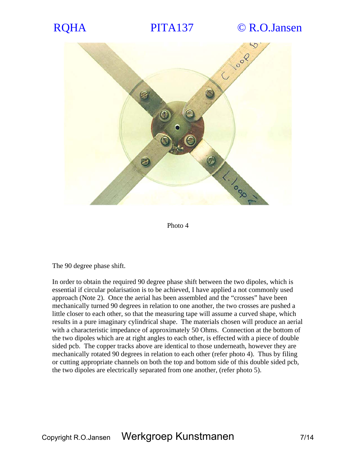



Photo 4

The 90 degree phase shift.

In order to obtain the required 90 degree phase shift between the two dipoles, which is essential if circular polarisation is to be achieved, I have applied a not commonly used approach (Note 2). Once the aerial has been assembled and the "crosses" have been mechanically turned 90 degrees in relation to one another, the two crosses are pushed a little closer to each other, so that the measuring tape will assume a curved shape, which results in a pure imaginary cylindrical shape. The materials chosen will produce an aerial with a characteristic impedance of approximately 50 Ohms. Connection at the bottom of the two dipoles which are at right angles to each other, is effected with a piece of double sided pcb. The copper tracks above are identical to those underneath, however they are mechanically rotated 90 degrees in relation to each other (refer photo 4). Thus by filing or cutting appropriate channels on both the top and bottom side of this double sided pcb, the two dipoles are electrically separated from one another, (refer photo 5).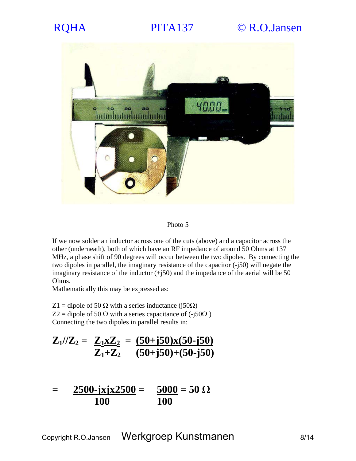

Photo 5

If we now solder an inductor across one of the cuts (above) and a capacitor across the other (underneath), both of which have an RF impedance of around 50 Ohms at 137 MHz, a phase shift of 90 degrees will occur between the two dipoles. By connecting the two dipoles in parallel, the imaginary resistance of the capacitor (-j50) will negate the imaginary resistance of the inductor  $(+150)$  and the impedance of the aerial will be 50 Ohms.

Mathematically this may be expressed as:

Z1 = dipole of 50  $\Omega$  with a series inductance (j50 $\Omega$ ) Z2 = dipole of 50  $\Omega$  with a series capacitance of (-j50 $\Omega$ ) Connecting the two dipoles in parallel results in:

$$
Z_1//Z_2 = \frac{Z_1 x Z_2}{Z_1 + Z_2} = \frac{(50 + j50)x(50 - j50)}{(50 + j50) + (50 - j50)}
$$

$$
= \frac{2500 - jx jx 2500}{100} = \frac{5000}{100} = 50 \Omega
$$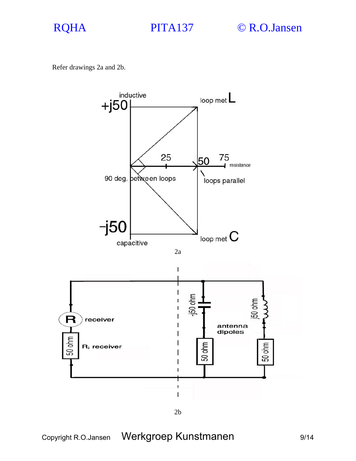

Refer drawings 2a and 2b.

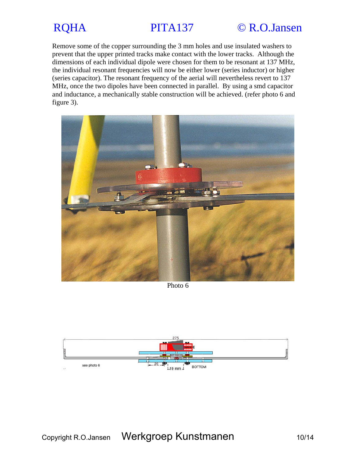Remove some of the copper surrounding the 3 mm holes and use insulated washers to prevent that the upper printed tracks make contact with the lower tracks. Although the dimensions of each individual dipole were chosen for them to be resonant at 137 MHz, the individual resonant frequencies will now be either lower (series inductor) or higher (series capacitor). The resonant frequency of the aerial will nevertheless revert to 137 MHz, once the two dipoles have been connected in parallel. By using a smd capacitor and inductance, a mechanically stable construction will be achieved. (refer photo 6 and figure 3).



Photo 6

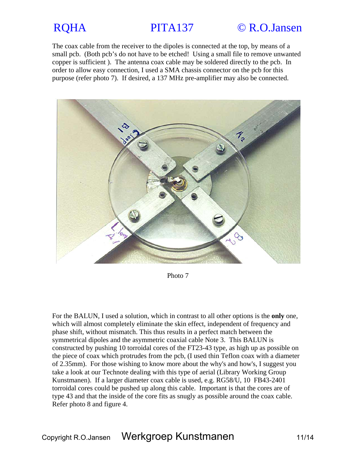The coax cable from the receiver to the dipoles is connected at the top, by means of a small pcb. (Both pcb's do not have to be etched! Using a small file to remove unwanted copper is sufficient ). The antenna coax cable may be soldered directly to the pcb. In order to allow easy connection, I used a SMA chassis connector on the pcb for this purpose (refer photo 7). If desired, a 137 MHz pre-amplifier may also be connected.



Photo 7

For the BALUN, I used a solution, which in contrast to all other options is the **only** one, which will almost completely eliminate the skin effect, independent of frequency and phase shift, without mismatch. This thus results in a perfect match between the symmetrical dipoles and the asymmetric coaxial cable Note 3. This BALUN is constructed by pushing 10 torroidal cores of the FT23-43 type, as high up as possible on the piece of coax which protrudes from the pcb, (I used thin Teflon coax with a diameter of 2.35mm). For those wishing to know more about the why's and how's, I suggest you take a look at our Technote dealing with this type of aerial (Library Working Group Kunstmanen). If a larger diameter coax cable is used, e.g. RG58/U, 10 FB43-2401 torroidal cores could be pushed up along this cable. Important is that the cores are of type 43 and that the inside of the core fits as snugly as possible around the coax cable. Refer photo 8 and figure 4.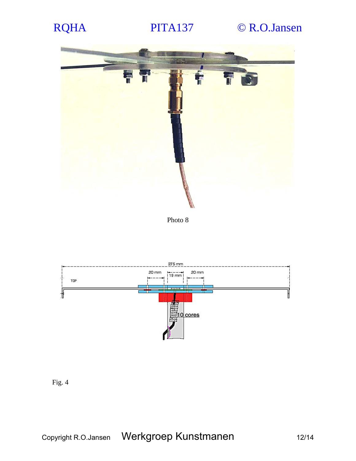



Photo 8



Fig. 4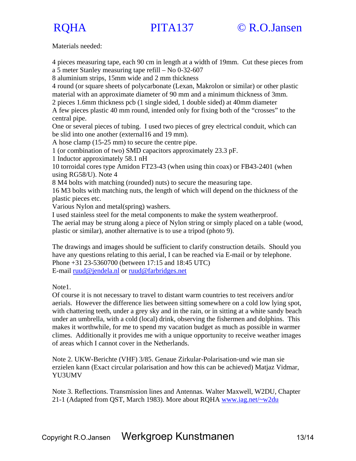Materials needed:

4 pieces measuring tape, each 90 cm in length at a width of 19mm. Cut these pieces from a 5 meter Stanley measuring tape refill – No 0-32-607

8 aluminium strips, 15mm wide and 2 mm thickness

4 round (or square sheets of polycarbonate (Lexan, Makrolon or similar) or other plastic material with an approximate diameter of 90 mm and a minimum thickness of 3mm.

2 pieces 1.6mm thickness pcb (1 single sided, 1 double sided) at 40mm diameter

A few pieces plastic 40 mm round, intended only for fixing both of the "crosses" to the central pipe.

One or several pieces of tubing. I used two pieces of grey electrical conduit, which can be slid into one another (external16 and 19 mm).

A hose clamp (15-25 mm) to secure the centre pipe.

1 (or combination of two) SMD capacitors approximately 23.3 pF.

1 Inductor approximately 58.1 nH

10 torroidal cores type Amidon FT23-43 (when using thin coax) or FB43-2401 (when using RG58/U). Note 4

8 M4 bolts with matching (rounded) nuts) to secure the measuring tape.

16 M3 bolts with matching nuts, the length of which will depend on the thickness of the plastic pieces etc.

Various Nylon and metal(spring) washers.

I used stainless steel for the metal components to make the system weatherproof.

The aerial may be strung along a piece of Nylon string or simply placed on a table (wood, plastic or similar), another alternative is to use a tripod (photo 9).

The drawings and images should be sufficient to clarify construction details. Should you have any questions relating to this aerial, I can be reached via E-mail or by telephone. Phone +31 23-5360700 (between 17:15 and 18:45 UTC) E-mail ruud@jendela.nl or ruud@farbridges.net

Note1.

Of course it is not necessary to travel to distant warm countries to test receivers and/or aerials. However the difference lies between sitting somewhere on a cold low lying spot, with chattering teeth, under a grey sky and in the rain, or in sitting at a white sandy beach under an umbrella, with a cold (local) drink, observing the fishermen and dolphins. This makes it worthwhile, for me to spend my vacation budget as much as possible in warmer climes. Additionally it provides me with a unique opportunity to receive weather images of areas which I cannot cover in the Netherlands.

Note 2. UKW-Berichte (VHF) 3/85. Genaue Zirkular-Polarisation-und wie man sie erzielen kann (Exact circular polarisation and how this can be achieved) Matjaz Vidmar, YU3UMV

Note 3. Reflections. Transmission lines and Antennas. Walter Maxwell, W2DU, Chapter 21-1 (Adapted from QST, March 1983). More about RQHA www.iag.net/~w2du